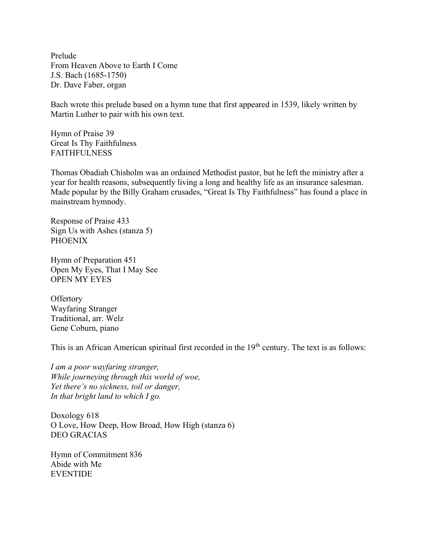Prelude From Heaven Above to Earth I Come J.S. Bach (1685-1750) Dr. Dave Faber, organ

Bach wrote this prelude based on a hymn tune that first appeared in 1539, likely written by Martin Luther to pair with his own text.

Hymn of Praise 39 Great Is Thy Faithfulness FAITHFULNESS

Thomas Obadiah Chisholm was an ordained Methodist pastor, but he left the ministry after a year for health reasons, subsequently living a long and healthy life as an insurance salesman. Made popular by the Billy Graham crusades, "Great Is Thy Faithfulness" has found a place in mainstream hymnody.

Response of Praise 433 Sign Us with Ashes (stanza 5) **PHOENIX** 

Hymn of Preparation 451 Open My Eyes, That I May See OPEN MY EYES

**Offertory** Wayfaring Stranger Traditional, arr. Welz Gene Coburn, piano

This is an African American spiritual first recorded in the 19<sup>th</sup> century. The text is as follows:

I am a poor wayfaring stranger, While journeying through this world of woe, Yet there's no sickness, toil or danger, In that bright land to which I go.

Doxology 618 O Love, How Deep, How Broad, How High (stanza 6) DEO GRACIAS

Hymn of Commitment 836 Abide with Me EVENTIDE